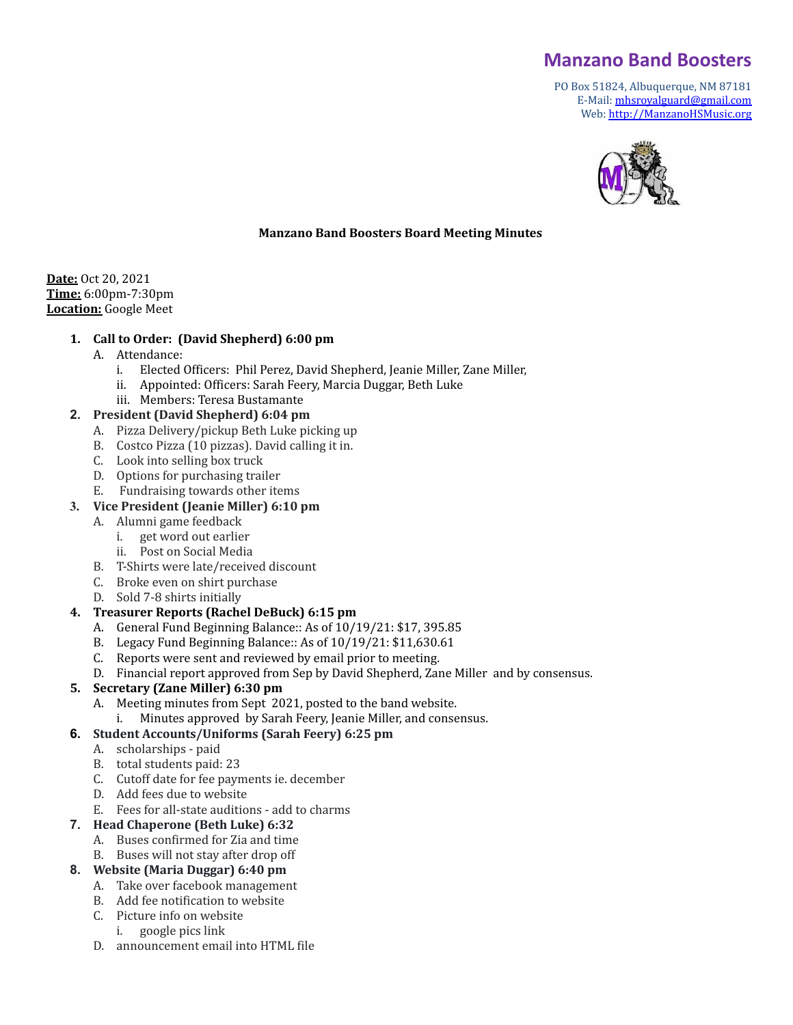# **Manzano Band Boosters**

PO Box 51824, Albuquerque, NM 87181 E-Mail: [mhsroyalguard@gmail.com](mailto:mhsroyalguard@gmail.com) Web: [http://ManzanoHSMusic.org](http://manzanohsmusic.org)



#### **Manzano Band Boosters Board Meeting Minutes**

**Date:** Oct 20, 2021 **Time:** 6:00pm-7:30pm **Location:** Google Meet

#### **1. Call to Order: (David Shepherd) 6:00 pm**

- A. Attendance:
	- i. Elected Officers: Phil Perez, David Shepherd, Jeanie Miller, Zane Miller,
	- ii. Appointed: Officers: Sarah Feery, Marcia Duggar, Beth Luke
	- iii. Members: Teresa Bustamante

#### **2. President (David Shepherd) 6:04 pm**

- A. Pizza Delivery/pickup Beth Luke picking up
- B. Costco Pizza (10 pizzas). David calling it in.
- C. Look into selling box truck
- D. Options for purchasing trailer
- E. Fundraising towards other items

#### **3. Vice President (Jeanie Miller) 6:10 pm**

- A. Alumni game feedback
	- i. get word out earlier
	- ii. Post on Social Media
- B. T-Shirts were late/received discount
- C. Broke even on shirt purchase
- D. Sold 7-8 shirts initially

#### **4. Treasurer Reports (Rachel DeBuck) 6:15 pm**

- A. General Fund Beginning Balance:: As of 10/19/21: \$17, 395.85
- B. Legacy Fund Beginning Balance:: As of 10/19/21: \$11,630.61
- C. Reports were sent and reviewed by email prior to meeting.
- D. Financial report approved from Sep by David Shepherd, Zane Miller and by consensus.

#### **5. Secretary (Zane Miller) 6:30 pm**

- A. Meeting minutes from Sept 2021, posted to the band website.
	- i. Minutes approved by Sarah Feery, Jeanie Miller, and consensus.

#### **6. Student Accounts/Uniforms (Sarah Feery) 6:25 pm**

- A. scholarships paid
- B. total students paid: 23
- C. Cutoff date for fee payments ie. december
- D. Add fees due to website
- E. Fees for all-state auditions add to charms

#### **7. Head Chaperone (Beth Luke) 6:32**

- A. Buses confirmed for Zia and time
- B. Buses will not stay after drop off

#### **8. Website (Maria Duggar) 6:40 pm**

- A. Take over facebook management
- B. Add fee notification to website
- C. Picture info on website
- i. google pics link
- D. announcement email into HTML file